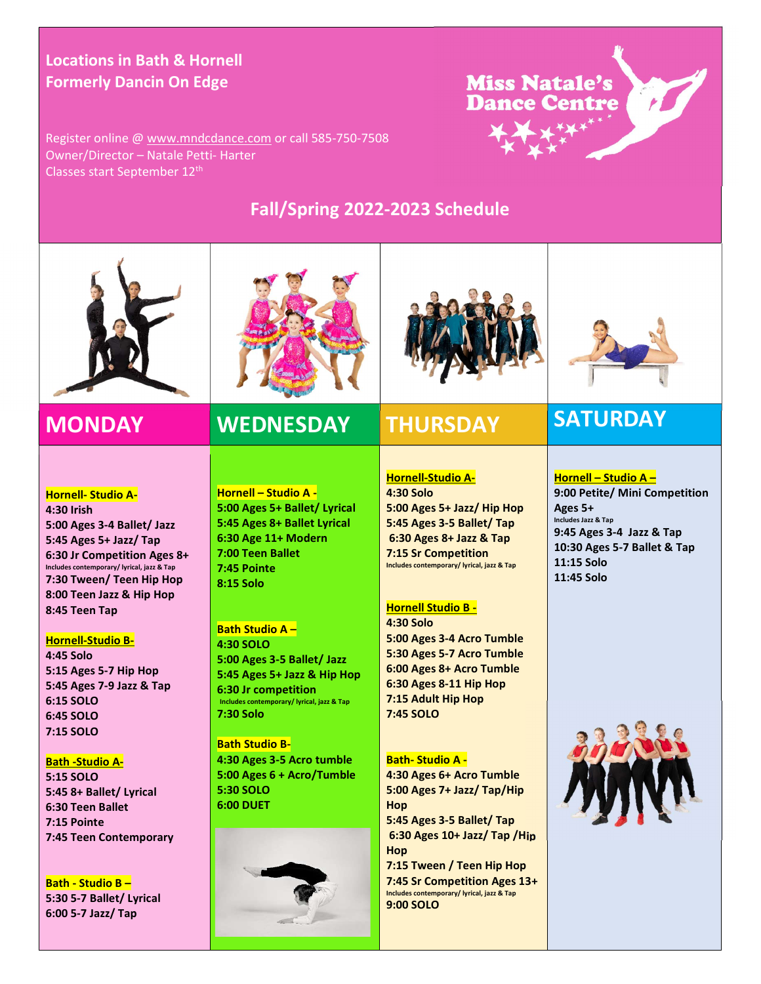### Locations in Bath & Hornell Formerly Dancin On Edge

**Miss Natale's Dance Centre** 

Register online @ www.mndcdance.com or call 585-750-7508 Owner/Director – Natale Petti- Harter Classes start September 12<sup>th</sup>

## Fall/Spring 2022-2023 Schedule





## MONDAY WEDNESDAY THURSDAY SATURDAY

### Hornell- Studio A-

4:30 Irish 5:00 Ages 3-4 Ballet/ Jazz 5:45 Ages 5+ Jazz/ Tap 6:30 Jr Competition Ages 8+ Includes contemporary/ lyrical, jazz & Tap 7:30 Tween/ Teen Hip Hop 8:00 Teen Jazz & Hip Hop 8:45 Teen Tap

### Hornell-Studio B-

4:45 Solo 5:15 Ages 5-7 Hip Hop 5:45 Ages 7-9 Jazz & Tap 6:15 SOLO 6:45 SOLO 7:15 SOLO

### Bath -Studio A-

5:15 SOLO 5:45 8+ Ballet/ Lyrical 6:30 Teen Ballet 7:15 Pointe 7:45 Teen Contemporary

Bath - Studio B – 5:30 5-7 Ballet/ Lyrical 6:00 5-7 Jazz/ Tap

Hornell – Studio A - 5:00 Ages 5+ Ballet/ Lyrical 5:45 Ages 8+ Ballet Lyrical 6:30 Age 11+ Modern 7:00 Teen Ballet 7:45 Pointe 8:15 Solo

### Bath Studio A – 4:30 SOLO 5:00 Ages 3-5 Ballet/ Jazz 5:45 Ages 5+ Jazz & Hip Hop 6:30 Jr competition Includes contemporary/ lyrical, jazz & Tap 7:30 Solo

Bath Studio B-4:30 Ages 3-5 Acro tumble 5:00 Ages 6 + Acro/Tumble 5:30 SOLO 6:00 DUET





### Hornell-Studio A-4:30 Solo 5:00 Ages 5+ Jazz/ Hip Hop 5:45 Ages 3-5 Ballet/ Tap 6:30 Ages 8+ Jazz & Tap 7:15 Sr Competition Includes contemporary/ lyrical, jazz & Tap

### Hornell Studio B -

4:30 Solo 5:00 Ages 3-4 Acro Tumble 5:30 Ages 5-7 Acro Tumble 6:00 Ages 8+ Acro Tumble 6:30 Ages 8-11 Hip Hop 7:15 Adult Hip Hop 7:45 SOLO

### Bath- Studio A -

4:30 Ages 6+ Acro Tumble 5:00 Ages 7+ Jazz/ Tap/Hip Hop 5:45 Ages 3-5 Ballet/ Tap 6:30 Ages 10+ Jazz/ Tap /Hip Hop 7:15 Tween / Teen Hip Hop 7:45 Sr Competition Ages 13+ Includes contemporary/ lyrical, jazz & Tap 9:00 SOLO



### Hornell – Studio A – 9:00 Petite/ Mini Competition Ages 5+ Includes Jazz & Tap 9:45 Ages 3-4 Jazz & Tap 10:30 Ages 5-7 Ballet & Tap



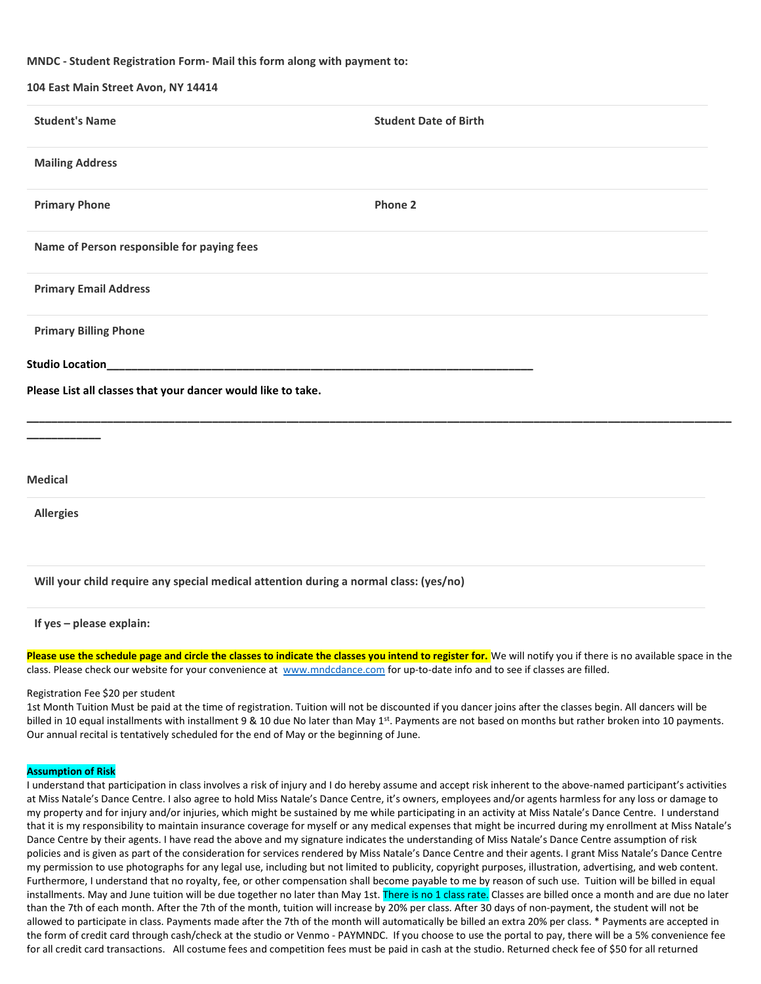### MNDC - Student Registration Form- Mail this form along with payment to:

| 104 East Main Street Avon, NY 14414                          |                              |
|--------------------------------------------------------------|------------------------------|
| <b>Student's Name</b>                                        | <b>Student Date of Birth</b> |
| <b>Mailing Address</b>                                       |                              |
| <b>Primary Phone</b>                                         | Phone 2                      |
| Name of Person responsible for paying fees                   |                              |
| <b>Primary Email Address</b>                                 |                              |
| <b>Primary Billing Phone</b>                                 |                              |
| <b>Studio Location</b>                                       |                              |
| Please List all classes that your dancer would like to take. |                              |
|                                                              |                              |
| <b>Medical</b>                                               |                              |
| <b>Allergies</b>                                             |                              |

### Will your child require any special medical attention during a normal class: (yes/no)

If yes – please explain:

Please use the schedule page and circle the classes to indicate the classes you intend to register for. We will notify you if there is no available space in the class. Please check our website for your convenience at www.mndcdance.com for up-to-date info and to see if classes are filled.

### Registration Fee \$20 per student

1st Month Tuition Must be paid at the time of registration. Tuition will not be discounted if you dancer joins after the classes begin. All dancers will be billed in 10 equal installments with installment 9 & 10 due No later than May 1<sup>st</sup>. Payments are not based on months but rather broken into 10 payments. Our annual recital is tentatively scheduled for the end of May or the beginning of June.

### Assumption of Risk

I understand that participation in class involves a risk of injury and I do hereby assume and accept risk inherent to the above-named participant's activities at Miss Natale's Dance Centre. I also agree to hold Miss Natale's Dance Centre, it's owners, employees and/or agents harmless for any loss or damage to my property and for injury and/or injuries, which might be sustained by me while participating in an activity at Miss Natale's Dance Centre. I understand that it is my responsibility to maintain insurance coverage for myself or any medical expenses that might be incurred during my enrollment at Miss Natale's Dance Centre by their agents. I have read the above and my signature indicates the understanding of Miss Natale's Dance Centre assumption of risk policies and is given as part of the consideration for services rendered by Miss Natale's Dance Centre and their agents. I grant Miss Natale's Dance Centre my permission to use photographs for any legal use, including but not limited to publicity, copyright purposes, illustration, advertising, and web content. Furthermore, I understand that no royalty, fee, or other compensation shall become payable to me by reason of such use. Tuition will be billed in equal installments. May and June tuition will be due together no later than May 1st. There is no 1 class rate. Classes are billed once a month and are due no later than the 7th of each month. After the 7th of the month, tuition will increase by 20% per class. After 30 days of non-payment, the student will not be allowed to participate in class. Payments made after the 7th of the month will automatically be billed an extra 20% per class. \* Payments are accepted in the form of credit card through cash/check at the studio or Venmo - PAYMNDC. If you choose to use the portal to pay, there will be a 5% convenience fee for all credit card transactions. All costume fees and competition fees must be paid in cash at the studio. Returned check fee of \$50 for all returned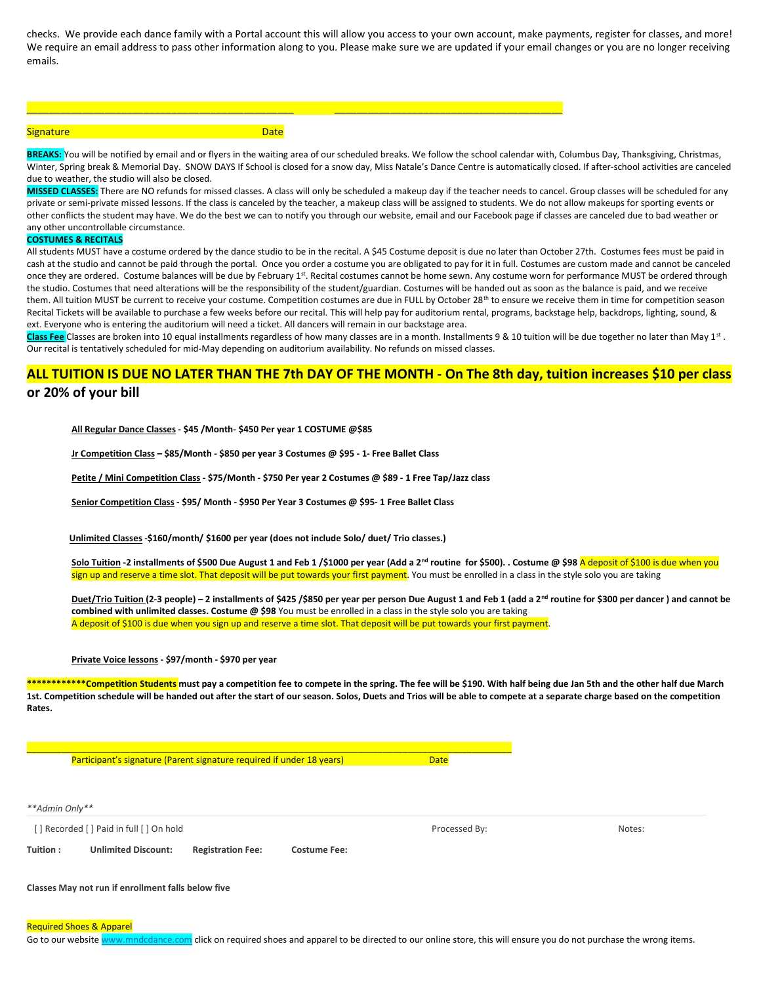checks. We provide each dance family with a Portal account this will allow you access to your own account, make payments, register for classes, and more! We require an email address to pass other information along to you. Please make sure we are updated if your email changes or you are no longer receiving emails.

### Signature Date Commission Commission Commission

\_\_\_\_\_\_\_\_\_\_\_\_\_\_\_\_\_\_\_\_\_\_\_\_\_\_\_\_\_\_\_\_\_\_\_\_\_\_\_\_\_\_\_\_\_\_\_\_ \_\_\_\_\_\_\_\_\_\_\_\_\_\_\_\_\_\_\_\_\_\_\_\_\_\_\_\_\_\_\_\_\_\_\_\_\_\_\_\_\_

BREAKS: You will be notified by email and or flyers in the waiting area of our scheduled breaks. We follow the school calendar with, Columbus Day, Thanksgiving, Christmas, Winter, Spring break & Memorial Day. SNOW DAYS If School is closed for a snow day, Miss Natale's Dance Centre is automatically closed. If after-school activities are canceled due to weather, the studio will also be closed.

MISSED CLASSES: There are NO refunds for missed classes. A class will only be scheduled a makeup day if the teacher needs to cancel. Group classes will be scheduled for any private or semi-private missed lessons. If the class is canceled by the teacher, a makeup class will be assigned to students. We do not allow makeups for sporting events or other conflicts the student may have. We do the best we can to notify you through our website, email and our Facebook page if classes are canceled due to bad weather or any other uncontrollable circumstance.

### COSTUMES & RECITALS

All students MUST have a costume ordered by the dance studio to be in the recital. A \$45 Costume deposit is due no later than October 27th. Costumes fees must be paid in cash at the studio and cannot be paid through the portal. Once you order a costume you are obligated to pay for it in full. Costumes are custom made and cannot be canceled once they are ordered. Costume balances will be due by February 1st. Recital costumes cannot be home sewn. Any costume worn for performance MUST be ordered through the studio. Costumes that need alterations will be the responsibility of the student/guardian. Costumes will be handed out as soon as the balance is paid, and we receive them. All tuition MUST be current to receive your costume. Competition costumes are due in FULL by October 28<sup>th</sup> to ensure we receive them in time for competition season Recital Tickets will be available to purchase a few weeks before our recital. This will help pay for auditorium rental, programs, backstage help, backdrops, lighting, sound, & ext. Everyone who is entering the auditorium will need a ticket. All dancers will remain in our backstage area.

Class Fee Classes are broken into 10 equal installments regardless of how many classes are in a month. Installments 9 & 10 tuition will be due together no later than May 1<sup>st</sup>. Our recital is tentatively scheduled for mid-May depending on auditorium availability. No refunds on missed classes.

### ALL TUITION IS DUE NO LATER THAN THE 7th DAY OF THE MONTH - On The 8th day, tuition increases \$10 per class or 20% of your bill

All Regular Dance Classes - \$45 /Month- \$450 Per year 1 COSTUME @\$85

Jr Competition Class – \$85/Month - \$850 per year 3 Costumes @ \$95 - 1- Free Ballet Class

Petite / Mini Competition Class - \$75/Month - \$750 Per year 2 Costumes @ \$89 - 1 Free Tap/Jazz class

Senior Competition Class - \$95/ Month - \$950 Per Year 3 Costumes @ \$95-1 Free Ballet Class

Unlimited Classes -\$160/month/ \$1600 per year (does not include Solo/ duet/ Trio classes.)

 $\frac{1}{2}$  ,  $\frac{1}{2}$  ,  $\frac{1}{2}$  ,  $\frac{1}{2}$  ,  $\frac{1}{2}$  ,  $\frac{1}{2}$  ,  $\frac{1}{2}$  ,  $\frac{1}{2}$  ,  $\frac{1}{2}$  ,  $\frac{1}{2}$  ,  $\frac{1}{2}$  ,  $\frac{1}{2}$  ,  $\frac{1}{2}$  ,  $\frac{1}{2}$  ,  $\frac{1}{2}$  ,  $\frac{1}{2}$  ,  $\frac{1}{2}$  ,  $\frac{1}{2}$  ,  $\frac{1$ 

Solo Tuition -2 installments of \$500 Due August 1 and Feb 1/\$1000 per year (Add a 2<sup>nd</sup> routine for \$500). . Costume @ \$98 A deposit of \$100 is due when you sign up and reserve a time slot. That deposit will be put towards your first payment. You must be enrolled in a class in the style solo you are taking

Duet/Trio Tuition (2-3 people) – 2 installments of \$425 /\$850 per year per person Due August 1 and Feb 1 (add a 2<sup>nd</sup> routine for \$300 per dancer) and cannot be combined with unlimited classes. Costume @ \$98 You must be enrolled in a class in the style solo you are taking A deposit of \$100 is due when you sign up and reserve a time slot. That deposit will be put towards your first payment.

### Private Voice lessons - \$97/month - \$970 per year

\*\*\*\*\*\*\*\*\*\*\*Competition Students must pay a competition fee to compete in the spring. The fee will be \$190. With half being due Jan 5th and the other half due March 1st. Competition schedule will be handed out after the start of our season. Solos, Duets and Trios will be able to compete at a separate charge based on the competition Rates.

Participant's signature (Parent signature required if under 18 years) Date

\*\*Admin Only\*\* [ ] Recorded [ ] Paid in full [ ] On hold **Processed By:** Notes: Tuition : Unlimited Discount: Registration Fee: Costume Fee:

Classes May not run if enrollment falls below five

Required Shoes & Apparel

Go to our website www.mndcdance.com click on required shoes and apparel to be directed to our online store, this will ensure you do not purchase the wrong items.